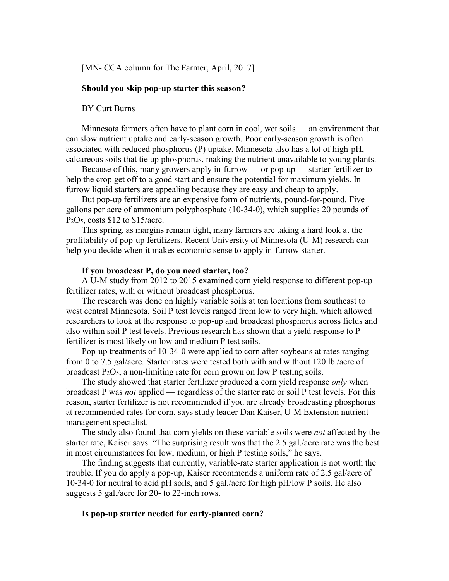[MN- CCA column for The Farmer, April, 2017]

## **Should you skip pop-up starter this season?**

BY Curt Burns

Minnesota farmers often have to plant corn in cool, wet soils — an environment that can slow nutrient uptake and early-season growth. Poor early-season growth is often associated with reduced phosphorus (P) uptake. Minnesota also has a lot of high-pH, calcareous soils that tie up phosphorus, making the nutrient unavailable to young plants.

Because of this, many growers apply in-furrow — or pop-up — starter fertilizer to help the crop get off to a good start and ensure the potential for maximum yields. Infurrow liquid starters are appealing because they are easy and cheap to apply.

But pop-up fertilizers are an expensive form of nutrients, pound-for-pound. Five gallons per acre of ammonium polyphosphate (10-34-0), which supplies 20 pounds of  $P<sub>2</sub>O<sub>5</sub>$ , costs \$12 to \$15/acre.

This spring, as margins remain tight, many farmers are taking a hard look at the profitability of pop-up fertilizers. Recent University of Minnesota (U-M) research can help you decide when it makes economic sense to apply in-furrow starter.

#### **If you broadcast P, do you need starter, too?**

A U-M study from 2012 to 2015 examined corn yield response to different pop-up fertilizer rates, with or without broadcast phosphorus.

The research was done on highly variable soils at ten locations from southeast to west central Minnesota. Soil P test levels ranged from low to very high, which allowed researchers to look at the response to pop-up and broadcast phosphorus across fields and also within soil P test levels. Previous research has shown that a yield response to P fertilizer is most likely on low and medium P test soils.

Pop-up treatments of 10-34-0 were applied to corn after soybeans at rates ranging from 0 to 7.5 gal/acre. Starter rates were tested both with and without 120 lb./acre of broadcast  $P_2O_5$ , a non-limiting rate for corn grown on low P testing soils.

The study showed that starter fertilizer produced a corn yield response *only* when broadcast P was *not* applied — regardless of the starter rate or soil P test levels. For this reason, starter fertilizer is not recommended if you are already broadcasting phosphorus at recommended rates for corn, says study leader Dan Kaiser, U-M Extension nutrient management specialist.

The study also found that corn yields on these variable soils were *not* affected by the starter rate, Kaiser says. "The surprising result was that the 2.5 gal./acre rate was the best in most circumstances for low, medium, or high P testing soils," he says.

The finding suggests that currently, variable-rate starter application is not worth the trouble. If you do apply a pop-up, Kaiser recommends a uniform rate of 2.5 gal/acre of 10-34-0 for neutral to acid pH soils, and 5 gal./acre for high pH/low P soils. He also suggests 5 gal./acre for 20- to 22-inch rows.

# **Is pop-up starter needed for early-planted corn?**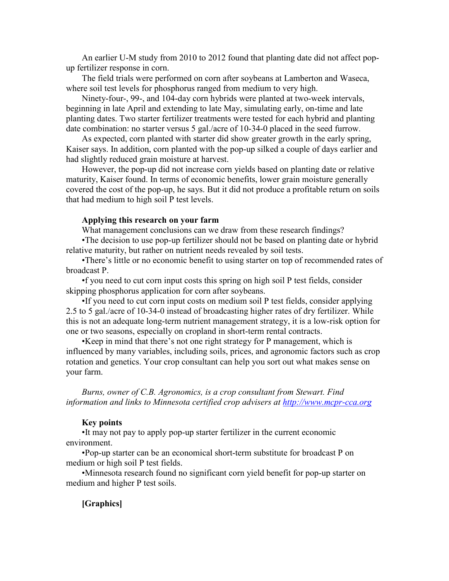An earlier U-M study from 2010 to 2012 found that planting date did not affect popup fertilizer response in corn.

The field trials were performed on corn after soybeans at Lamberton and Waseca, where soil test levels for phosphorus ranged from medium to very high.

Ninety-four-, 99-, and 104-day corn hybrids were planted at two-week intervals, beginning in late April and extending to late May, simulating early, on-time and late planting dates. Two starter fertilizer treatments were tested for each hybrid and planting date combination: no starter versus 5 gal./acre of 10-34-0 placed in the seed furrow.

As expected, corn planted with starter did show greater growth in the early spring, Kaiser says. In addition, corn planted with the pop-up silked a couple of days earlier and had slightly reduced grain moisture at harvest.

However, the pop-up did not increase corn yields based on planting date or relative maturity, Kaiser found. In terms of economic benefits, lower grain moisture generally covered the cost of the pop-up, he says. But it did not produce a profitable return on soils that had medium to high soil P test levels.

## **Applying this research on your farm**

What management conclusions can we draw from these research findings?

•The decision to use pop-up fertilizer should not be based on planting date or hybrid relative maturity, but rather on nutrient needs revealed by soil tests.

•There's little or no economic benefit to using starter on top of recommended rates of broadcast P.

•f you need to cut corn input costs this spring on high soil P test fields, consider skipping phosphorus application for corn after soybeans.

•If you need to cut corn input costs on medium soil P test fields, consider applying 2.5 to 5 gal./acre of 10-34-0 instead of broadcasting higher rates of dry fertilizer. While this is not an adequate long-term nutrient management strategy, it is a low-risk option for one or two seasons, especially on cropland in short-term rental contracts.

•Keep in mind that there's not one right strategy for P management, which is influenced by many variables, including soils, prices, and agronomic factors such as crop rotation and genetics. Your crop consultant can help you sort out what makes sense on your farm.

*Burns, owner of C.B. Agronomics, is a crop consultant from Stewart. Find information and links to Minnesota certified crop advisers at [http://www.mcpr-cca.org](http://www.mcpr-cca.org/)*

#### **Key points**

•It may not pay to apply pop-up starter fertilizer in the current economic environment.

•Pop-up starter can be an economical short-term substitute for broadcast P on medium or high soil P test fields.

•Minnesota research found no significant corn yield benefit for pop-up starter on medium and higher P test soils.

#### **[Graphics]**